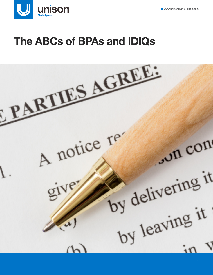

# **The ABCs of BPAs and IDIQs**

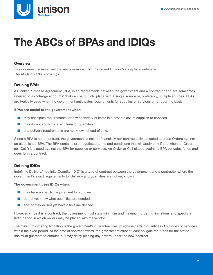

# **The ABCs of BPAs and IDIQs**

# **Overview**

This document summarizes the key takeaways from the recent Unison Marketplace webinar— The ABCs of BPAs and IDIQs

# Defining BPAs

A Blanket Purchase Agreement (BPA) is an "agreement" between the government and a contractor and are sometimes referred to as "charge accounts" that can be put into place with a single source or, preferably, multiple sources. BPAs are typically used when the government anticipates requirements for supplies or services on a recurring basis.

# BPAs are useful to the government when:

- they anticipate requirements for a wide variety of items in a broad class of supplies or services,
- they do not know the exact items or quantities,
- and delivery requirements are not known ahead of time.

Since a BPA is not a contract, the government is neither financially nor contractually obligated to place Orders against an established BPA. The BPA contains pre-negotiated terms and conditions that will apply only if and when an Order (or "Call") is placed against the BPA for supplies or services. An Order or Call placed against a BPA obligates funds and does form a contract.

# Defining IDIQs

Indefinite Delivery/Indefinite Quantity (IDIQ) is a type of contract between the government and a contractor where the government's exact requirements for delivery and quantities are not yet known.

## The government uses IDIQs when:

- they have a specific requirement for supplies,
- do not yet know what quantities are needed,
- and/or they do not yet have a timeline defined.

However, since it is a contract, the government must state minimum and maximum ordering limitations and specify a fixed period in which orders may be placed with the vendor.

The minimum ordering limitation is the government's guarantee it will purchase certain quantities of supplies or services within the fixed period. At the time of contract award, the government must at least obligate the funds for the stated minimum guaranteed amount, but may delay placing any orders under the new contract.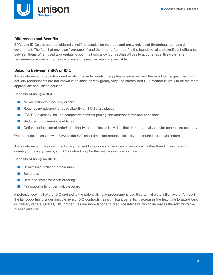

## Differences and Benefits

BPAs and IDIQs are both considered simplified acquisition methods and are widely used throughout the federal government. The fact that one is an "agreement" and the other a "contract" is the foundational and significant difference between them. When used appropriately, both methods allow contracting offices to acquire repetitive government requirements in one of the most efficient and simplified manners available.

# Deciding Between a BPA or IDIQ

If it is determined a repetitive need exists for a wide variety of supplies or services, and the exact items, quantities, and delivery requirements are not known in advance or may greatly vary, the streamlined BPA method is likely to be the more appropriate acquisition solution.

#### Benefits of using a BPA:

- No obligation to place any orders
- Requires no advance funds availability until Calls are placed
- FSS BPAs already include competitive contract pricing and contract terms and conditions
- Reduced procurement lead times
- Optional delegation of ordering authority to an office or individual that do not normally require contracting authority

One potential downside with BPAs is the SAT order limitation reduces flexibility to acquire large scale orders.

If it is determined the government's requirement for supplies or services is well-known, other than knowing exact quantity or delivery needs, an IDIQ contract may be the best acquisition solution.

## Benefits of using an IDIQ:

- Streamlined ordering procedures
- Set prices
- Reduced lead time when ordering
- Fair opportunity under multiple award

A potential downfall of the IDIQ method is the potentially long procurement lead time to make the initial award. Although the fair opportunity under multiple award IDIQ contracts has significant benefits, it increases the lead time to award task or delivery orders. Overall, IDIQ procedures are more labor and resource intensive, which increases the administrative burden and cost.